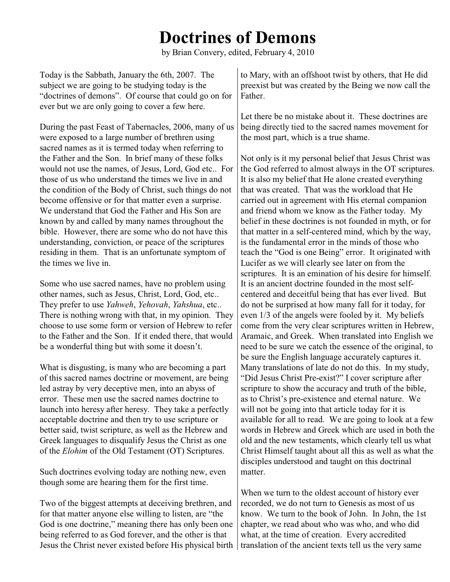## **Doctrines of Demons**

by Brian Convery, edited, February 4, 2010

Today is the Sabbath, January the 6th, 2007. The subject we are going to be studying today is the "doctrines of demons". Of course that could go on for ever but we are only going to cover a few here. Father.

During the past Feast of Tabernacles, 2006, many of us were exposed to a large number of brethren using sacred names as it is termed today when referring to the Father and the Son. In brief many of these folks would not use the names, of Jesus, Lord, God etc.. For those of us who understand the times we live in and the condition of the Body of Christ, such things do not become offensive or for that matter even a surprise. We understand that God the Father and His Son are known by and called by many names throughout the bible. However, there are some who do not have this understanding, conviction, or peace of the scriptures residing in them. That is an unfortunate symptom of the times we live in.

Some who use sacred names, have no problem using other names, such as Jesus, Christ, Lord, God, etc.. They prefer to use *Yahweh*, *Yehovah*, *Yahshua*, etc.. There is nothing wrong with that, in my opinion. They choose to use some form or version of Hebrew to refer to the Father and the Son. If it ended there, that would be a wonderful thing but with some it doesn't.

What is disgusting, is many who are becoming a part of this sacred names doctrine or movement, are being led astray by very deceptive men, into an abyss of error. These men use the sacred names doctrine to launch into heresy after heresy. They take a perfectly acceptable doctrine and then try to use scripture or better said, twist scripture, as well as the Hebrew and Greek languages to disqualify Jesus the Christ as one of the *Elohim* of the Old Testament (OT) Scriptures.

Such doctrines evolving today are nothing new, even though some are hearing them for the first time.

Two of the biggest attempts at deceiving brethren, and for that matter anyone else willing to listen, are "the God is one doctrine," meaning there has only been one being referred to as God forever, and the other is that Jesus the Christ never existed before His physical birth to Mary, with an offshoot twist by others, that He did preexist but was created by the Being we now call the

Let there be no mistake about it. These doctrines are being directly tied to the sacred names movement for the most part, which is a true shame.

Not only is it my personal belief that Jesus Christ was the God referred to almost always in the OT scriptures. It is also my belief that He alone created everything that was created. That was the workload that He carried out in agreement with His eternal companion and friend whom we know as the Father today. My belief in these doctrines is not founded in myth, or for that matter in a self-centered mind, which by the way, is the fundamental error in the minds of those who teach the "God is one Being" error. It originated with Lucifer as we will clearly see later on from the scriptures. It is an emination of his desire for himself. It is an ancient doctrine founded in the most selfcentered and deceitful being that has ever lived. But do not be surprised at how many fall for it today, for even 1/3 of the angels were fooled by it. My beliefs come from the very clear scriptures written in Hebrew, Aramaic, and Greek. When translated into English we need to be sure we catch the essence of the original, to be sure the English language accurately captures it. Many translations of late do not do this. In my study, "Did Jesus Christ Pre-exist?" I cover scripture after scripture to show the accuracy and truth of the bible, as to Christ's pre-existence and eternal nature. We will not be going into that article today for it is available for all to read. We are going to look at a few words in Hebrew and Greek which are used in both the old and the new testaments, which clearly tell us what Christ Himself taught about all this as well as what the disciples understood and taught on this doctrinal matter.

When we turn to the oldest account of history ever recorded, we do not turn to Genesis as most of us know. We turn to the book of John. In John, the 1st chapter, we read about who was who, and who did what, at the time of creation. Every accredited translation of the ancient texts tell us the very same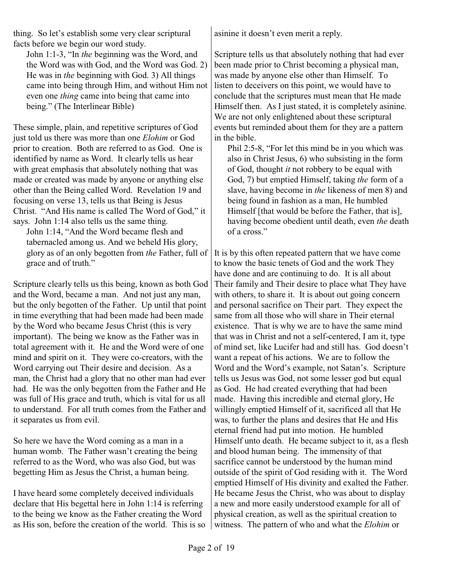thing. So let's establish some very clear scriptural facts before we begin our word study.

John 1:1-3, "In *the* beginning was the Word, and the Word was with God, and the Word was God. 2) He was in *the* beginning with God. 3) All things came into being through Him, and without Him not even one *thing* came into being that came into being." (The Interlinear Bible)

These simple, plain, and repetitive scriptures of God just told us there was more than one *Elohim* or God prior to creation. Both are referred to as God. One is identified by name as Word. It clearly tells us hear with great emphasis that absolutely nothing that was made or created was made by anyone or anything else other than the Being called Word. Revelation 19 and focusing on verse 13, tells us that Being is Jesus Christ. "And His name is called The Word of God," it says. John 1:14 also tells us the same thing.

John 1:14, "And the Word became flesh and tabernacled among us. And we beheld His glory, glory as of an only begotten from *the* Father, full of grace and of truth."

Scripture clearly tells us this being, known as both God and the Word, became a man. And not just any man, but the only begotten of the Father. Up until that point in time everything that had been made had been made by the Word who became Jesus Christ (this is very important). The being we know as the Father was in total agreement with it. He and the Word were of one mind and spirit on it. They were co-creators, with the Word carrying out Their desire and decision. As a man, the Christ had a glory that no other man had ever had. He was the only begotten from the Father and He was full of His grace and truth, which is vital for us all to understand. For all truth comes from the Father and it separates us from evil.

So here we have the Word coming as a man in a human womb. The Father wasn't creating the being referred to as the Word, who was also God, but was begetting Him as Jesus the Christ, a human being.

I have heard some completely deceived individuals declare that His begettal here in John 1:14 is referring to the being we know as the Father creating the Word as His son, before the creation of the world. This is so asinine it doesn't even merit a reply.

Scripture tells us that absolutely nothing that had ever been made prior to Christ becoming a physical man, was made by anyone else other than Himself. To listen to deceivers on this point, we would have to conclude that the scriptures must mean that He made Himself then. As I just stated, it is completely asinine. We are not only enlightened about these scriptural events but reminded about them for they are a pattern in the bible.

Phil 2:5-8, "For let this mind be in you which was also in Christ Jesus, 6) who subsisting in the form of God, thought *it* not robbery to be equal with God, 7) but emptied Himself, taking *the* form of a slave, having become in *the* likeness of men 8) and being found in fashion as a man, He humbled Himself [that would be before the Father, that is], having become obedient until death, even *the* death of a cross."

It is by this often repeated pattern that we have come to know the basic tenets of God and the work They have done and are continuing to do. It is all about Their family and Their desire to place what They have with others, to share it. It is about out going concern and personal sacrifice on Their part. They expect the same from all those who will share in Their eternal existence. That is why we are to have the same mind that was in Christ and not a self-centered, I am it, type of mind set, like Lucifer had and still has. God doesn't want a repeat of his actions. We are to follow the Word and the Word's example, not Satan's. Scripture tells us Jesus was God, not some lesser god but equal as God. He had created everything that had been made. Having this incredible and eternal glory, He willingly emptied Himself of it, sacrificed all that He was, to further the plans and desires that He and His eternal friend had put into motion. He humbled Himself unto death. He became subject to it, as a flesh and blood human being. The immensity of that sacrifice cannot be understood by the human mind outside of the spirit of God residing with it. The Word emptied Himself of His divinity and exalted the Father. He became Jesus the Christ, who was about to display a new and more easily understood example for all of physical creation, as well as the spiritual creation to witness. The pattern of who and what the *Elohim* or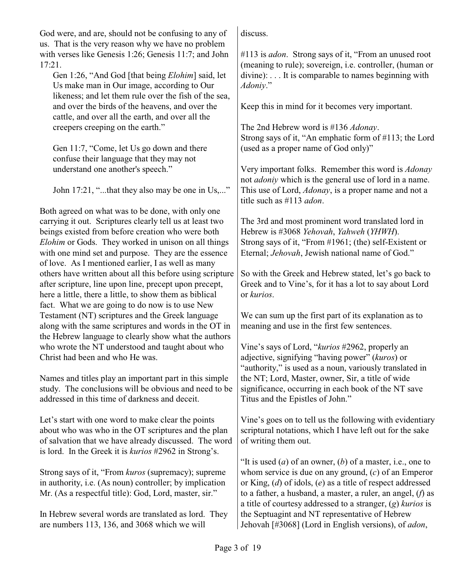God were, and are, should not be confusing to any of us. That is the very reason why we have no problem with verses like Genesis 1:26; Genesis 11:7; and John 17:21.

Gen 1:26, "And God [that being *Elohim*] said, let Us make man in Our image, according to Our likeness; and let them rule over the fish of the sea, and over the birds of the heavens, and over the cattle, and over all the earth, and over all the creepers creeping on the earth."

Gen 11:7, "Come, let Us go down and there confuse their language that they may not understand one another's speech."

John 17:21, "...that they also may be one in Us,..."

Both agreed on what was to be done, with only one carrying it out. Scriptures clearly tell us at least two beings existed from before creation who were both *Elohim* or Gods. They worked in unison on all things with one mind set and purpose. They are the essence of love. As I mentioned earlier, I as well as many others have written about all this before using scripture after scripture, line upon line, precept upon precept, here a little, there a little, to show them as biblical fact. What we are going to do now is to use New Testament (NT) scriptures and the Greek language along with the same scriptures and words in the OT in the Hebrew language to clearly show what the authors who wrote the NT understood and taught about who Christ had been and who He was.

Names and titles play an important part in this simple study. The conclusions will be obvious and need to be addressed in this time of darkness and deceit.

Let's start with one word to make clear the points about who was who in the OT scriptures and the plan of salvation that we have already discussed. The word is lord. In the Greek it is *kurios* #2962 in Strong's.

Strong says of it, "From *kuros* (supremacy); supreme in authority, i.e. (As noun) controller; by implication Mr. (As a respectful title): God, Lord, master, sir."

In Hebrew several words are translated as lord. They are numbers 113, 136, and 3068 which we will

discuss.

#113 is *adon*. Strong says of it, "From an unused root (meaning to rule); sovereign, i.e. controller, (human or divine): . . . It is comparable to names beginning with *Adoniy*."

Keep this in mind for it becomes very important.

The 2nd Hebrew word is #136 *Adonay*. Strong says of it, "An emphatic form of #113; the Lord (used as a proper name of God only)"

Very important folks. Remember this word is *Adonay* not *adoniy* which is the general use of lord in a name. This use of Lord, *Adonay*, is a proper name and not a title such as #113 *adon*.

The 3rd and most prominent word translated lord in Hebrew is #3068 *Yehovah*, *Yahweh* (*YHWH*). Strong says of it, "From #1961; (the) self-Existent or Eternal; *Jehovah*, Jewish national name of God."

So with the Greek and Hebrew stated, let's go back to Greek and to Vine's, for it has a lot to say about Lord or *kurios*.

We can sum up the first part of its explanation as to meaning and use in the first few sentences.

Vine's says of Lord, "*kurios* #2962, properly an adjective, signifying "having power" (*kuros*) or "authority," is used as a noun, variously translated in the NT; Lord, Master, owner, Sir, a title of wide significance, occurring in each book of the NT save Titus and the Epistles of John."

Vine's goes on to tell us the following with evidentiary scriptural notations, which I have left out for the sake of writing them out.

"It is used (*a*) of an owner, (*b*) of a master, i.e., one to whom service is due on any ground, (*c*) of an Emperor or King, (*d*) of idols, (*e*) as a title of respect addressed to a father, a husband, a master, a ruler, an angel, (*f*) as a title of courtesy addressed to a stranger, (*g*) *kurios* is the Septuagint and NT representative of Hebrew Jehovah [#3068] (Lord in English versions), of *adon*,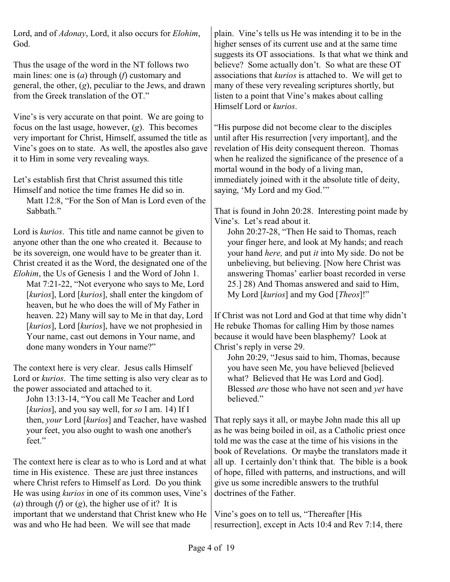Lord, and of *Adonay*, Lord, it also occurs for *Elohim*, God.

Thus the usage of the word in the NT follows two main lines: one is (*a*) through (*f*) customary and general, the other, (*g*), peculiar to the Jews, and drawn from the Greek translation of the OT."

Vine's is very accurate on that point. We are going to focus on the last usage, however, (*g*). This becomes very important for Christ, Himself, assumed the title as Vine's goes on to state. As well, the apostles also gave it to Him in some very revealing ways.

Let's establish first that Christ assumed this title Himself and notice the time frames He did so in.

Matt 12:8, "For the Son of Man is Lord even of the Sabbath."

Lord is *kurios*. This title and name cannot be given to anyone other than the one who created it. Because to be its sovereign, one would have to be greater than it. Christ created it as the Word, the designated one of the *Elohim*, the Us of Genesis 1 and the Word of John 1.

Mat 7:21-22, "Not everyone who says to Me, Lord [*kurios*], Lord [*kurios*], shall enter the kingdom of heaven, but he who does the will of My Father in heaven. 22) Many will say to Me in that day, Lord [*kurios*], Lord [*kurios*], have we not prophesied in Your name, cast out demons in Your name, and done many wonders in Your name?"

The context here is very clear. Jesus calls Himself Lord or *kurios*. The time setting is also very clear as to the power associated and attached to it.

John 13:13-14, "You call Me Teacher and Lord [*kurios*], and you say well, for *so* I am. 14) If I then, *your* Lord [*kurios*] and Teacher, have washed your feet, you also ought to wash one another's feet."

The context here is clear as to who is Lord and at what time in His existence. These are just three instances where Christ refers to Himself as Lord. Do you think He was using *kurios* in one of its common uses, Vine's (*a*) through (*f*) or (*g*), the higher use of it? It is important that we understand that Christ knew who He was and who He had been. We will see that made

plain. Vine's tells us He was intending it to be in the higher senses of its current use and at the same time suggests its OT associations. Is that what we think and believe? Some actually don't. So what are these OT associations that *kurios* is attached to. We will get to many of these very revealing scriptures shortly, but listen to a point that Vine's makes about calling Himself Lord or *kurios*.

"His purpose did not become clear to the disciples until after His resurrection [very important], and the revelation of His deity consequent thereon. Thomas when he realized the significance of the presence of a mortal wound in the body of a living man, immediately joined with it the absolute title of deity, saying, 'My Lord and my God.'"

That is found in John 20:28. Interesting point made by Vine's. Let's read about it.

John 20:27-28, "Then He said to Thomas, reach your finger here, and look at My hands; and reach your hand *here,* and put *it* into My side. Do not be unbelieving, but believing. [Now here Christ was answering Thomas' earlier boast recorded in verse 25.] 28) And Thomas answered and said to Him, My Lord [*kurios*] and my God [*Theos*]!"

If Christ was not Lord and God at that time why didn't He rebuke Thomas for calling Him by those names because it would have been blasphemy? Look at Christ's reply in verse 29.

John 20:29, "Jesus said to him, Thomas, because you have seen Me, you have believed [believed what? Believed that He was Lord and God]. Blessed *are* those who have not seen and *yet* have believed."

That reply says it all, or maybe John made this all up as he was being boiled in oil, as a Catholic priest once told me was the case at the time of his visions in the book of Revelations. Or maybe the translators made it all up. I certainly don't think that. The bible is a book of hope, filled with patterns, and instructions, and will give us some incredible answers to the truthful doctrines of the Father.

Vine's goes on to tell us, "Thereafter [His resurrection], except in Acts 10:4 and Rev 7:14, there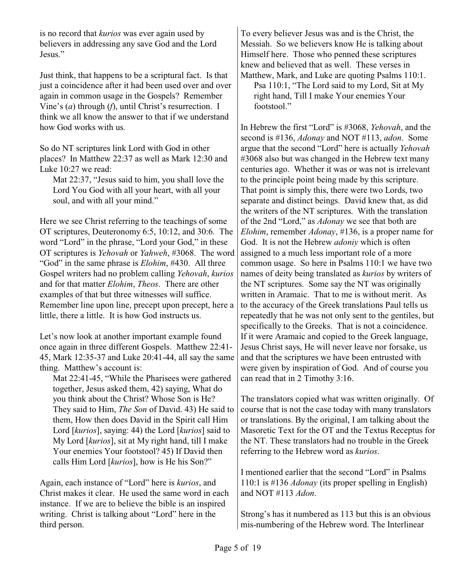is no record that *kurios* was ever again used by believers in addressing any save God and the Lord Jesus."

Just think, that happens to be a scriptural fact. Is that just a coincidence after it had been used over and over again in common usage in the Gospels? Remember Vine's (*a*) through (*f*), until Christ's resurrection. I think we all know the answer to that if we understand how God works with us.

So do NT scriptures link Lord with God in other places? In Matthew 22:37 as well as Mark 12:30 and Luke 10:27 we read:

Mat 22:37, "Jesus said to him, you shall love the Lord You God with all your heart, with all your soul, and with all your mind."

Here we see Christ referring to the teachings of some OT scriptures, Deuteronomy 6:5, 10:12, and 30:6. The word "Lord" in the phrase, "Lord your God," in these OT scriptures is *Yehovah* or *Yahweh*, #3068. The word "God" in the same phrase is *Elohim*, #430. All three Gospel writers had no problem calling *Yehovah*, *kurios* and for that matter *Elohim*, *Theos*. There are other examples of that but three witnesses will suffice. Remember line upon line, precept upon precept, here a little, there a little. It is how God instructs us.

Let's now look at another important example found once again in three different Gospels. Matthew 22:41- 45, Mark 12:35-37 and Luke 20:41-44, all say the same thing. Matthew's account is:

Mat 22:41-45, "While the Pharisees were gathered together, Jesus asked them, 42) saying, What do you think about the Christ? Whose Son is He? They said to Him, *The Son* of David. 43) He said to them, How then does David in the Spirit call Him Lord [*kurios*], saying: 44) the Lord [*kurios*] said to My Lord [*kurios*], sit at My right hand, till I make Your enemies Your footstool? 45) If David then calls Him Lord [*kurios*], how is He his Son?"

Again, each instance of "Lord" here is *kurios*, and Christ makes it clear. He used the same word in each instance. If we are to believe the bible is an inspired writing. Christ is talking about "Lord" here in the third person.

To every believer Jesus was and is the Christ, the Messiah. So we believers know He is talking about Himself here. Those who penned these scriptures knew and believed that as well. These verses in Matthew, Mark, and Luke are quoting Psalms 110:1.

Psa 110:1, "The Lord said to my Lord, Sit at My right hand, Till I make Your enemies Your footstool."

In Hebrew the first "Lord" is #3068, *Yehovah*, and the second is #136, *Adonay* and NOT #113, *adon*. Some argue that the second "Lord" here is actually *Yehovah* #3068 also but was changed in the Hebrew text many centuries ago. Whether it was or was not is irrelevant to the principle point being made by this scripture. That point is simply this, there were two Lords, two separate and distinct beings. David knew that, as did the writers of the NT scriptures. With the translation of the 2nd "Lord," as *Adonay* we see that both are *Elohim*, remember *Adonay*, #136, is a proper name for God. It is not the Hebrew *adoniy* which is often assigned to a much less important role of a more common usage. So here in Psalms 110:1 we have two names of deity being translated as *kurios* by writers of the NT scriptures. Some say the NT was originally written in Aramaic. That to me is without merit. As to the accuracy of the Greek translations Paul tells us repeatedly that he was not only sent to the gentiles, but specifically to the Greeks. That is not a coincidence. If it were Aramaic and copied to the Greek language, Jesus Christ says, He will never leave nor forsake, us and that the scriptures we have been entrusted with were given by inspiration of God. And of course you can read that in 2 Timothy 3:16.

The translators copied what was written originally. Of course that is not the case today with many translators or translations. By the original, I am talking about the Masoretic Text for the OT and the Textus Receptus for the NT. These translators had no trouble in the Greek referring to the Hebrew word as *kurios*.

I mentioned earlier that the second "Lord" in Psalms 110:1 is #136 *Adonay* (its proper spelling in English) and NOT #113 *Adon*.

Strong's has it numbered as 113 but this is an obvious mis-numbering of the Hebrew word. The Interlinear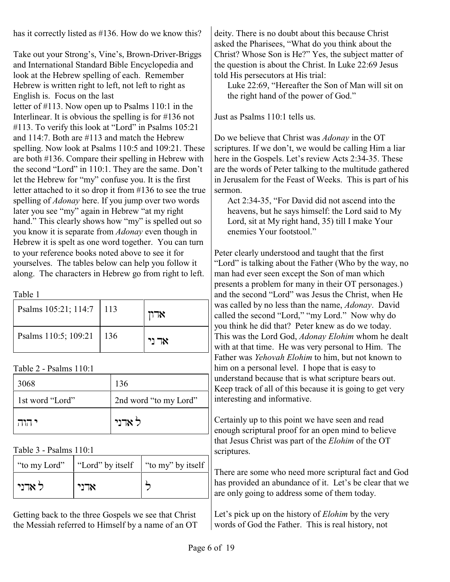has it correctly listed as #136. How do we know this?

Take out your Strong's, Vine's, Brown-Driver-Briggs and International Standard Bible Encyclopedia and look at the Hebrew spelling of each. Remember Hebrew is written right to left, not left to right as English is. Focus on the last

letter of #113. Now open up to Psalms 110:1 in the Interlinear. It is obvious the spelling is for #136 not #113. To verify this look at "Lord" in Psalms 105:21 and 114:7. Both are #113 and match the Hebrew spelling. Now look at Psalms 110:5 and 109:21. These are both #136. Compare their spelling in Hebrew with the second "Lord" in 110:1. They are the same. Don't let the Hebrew for "my" confuse you. It is the first letter attached to it so drop it from #136 to see the true spelling of *Adonay* here. If you jump over two words later you see "my" again in Hebrew "at my right hand." This clearly shows how "my" is spelled out so you know it is separate from *Adonay* even though in Hebrew it is spelt as one word together. You can turn to your reference books noted above to see it for yourselves. The tables below can help you follow it along. The characters in Hebrew go from right to left.

Table 1

| Psalms 105:21; 114:7 | $\vert$ 113 | $\neg$ x |
|----------------------|-------------|----------|
| Psalms 110:5; 109:21 | $\vert$ 136 | אד ני    |

Table 2 - Psalms 110:1

| 3068            | 136                   |
|-----------------|-----------------------|
| 1st word "Lord" | 2nd word "to my Lord" |
| י הוה ו         | ל אדני                |

Table 3 - Psalms 110:1

| "to my Lord" | "Lord" by itself   "to my" by itself |  |
|--------------|--------------------------------------|--|
| ל אדני       | אדני                                 |  |

Getting back to the three Gospels we see that Christ the Messiah referred to Himself by a name of an OT deity. There is no doubt about this because Christ asked the Pharisees, "What do you think about the Christ? Whose Son is He?" Yes, the subject matter of the question is about the Christ. In Luke 22:69 Jesus told His persecutors at His trial:

Luke 22:69, "Hereafter the Son of Man will sit on the right hand of the power of God."

Just as Psalms 110:1 tells us.

Do we believe that Christ was *Adonay* in the OT scriptures. If we don't, we would be calling Him a liar here in the Gospels. Let's review Acts 2:34-35. These are the words of Peter talking to the multitude gathered in Jerusalem for the Feast of Weeks. This is part of his sermon.

Act 2:34-35, "For David did not ascend into the heavens, but he says himself: the Lord said to My Lord, sit at My right hand, 35) till I make Your enemies Your footstool."

Peter clearly understood and taught that the first "Lord" is talking about the Father (Who by the way, no man had ever seen except the Son of man which presents a problem for many in their OT personages.) and the second "Lord" was Jesus the Christ, when He was called by no less than the name, *Adonay*. David called the second "Lord," "my Lord." Now why do you think he did that? Peter knew as do we today. This was the Lord God, *Adonay Elohim* whom he dealt with at that time. He was very personal to Him. The Father was *Yehovah Elohim* to him, but not known to him on a personal level. I hope that is easy to understand because that is what scripture bears out. Keep track of all of this because it is going to get very interesting and informative.

Certainly up to this point we have seen and read enough scriptural proof for an open mind to believe that Jesus Christ was part of the *Elohim* of the OT scriptures.

There are some who need more scriptural fact and God has provided an abundance of it. Let's be clear that we are only going to address some of them today.

Let's pick up on the history of *Elohim* by the very words of God the Father. This is real history, not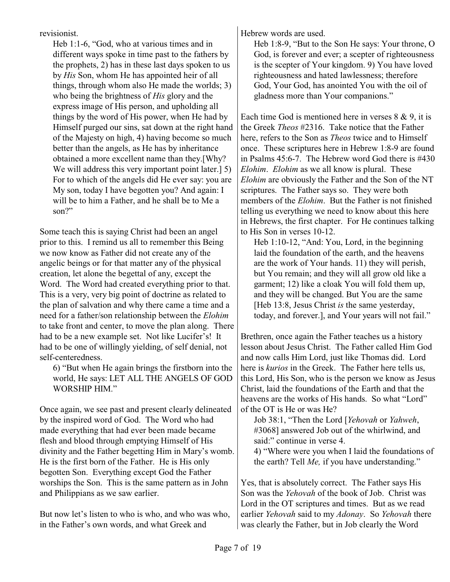revisionist.

Heb 1:1-6, "God, who at various times and in different ways spoke in time past to the fathers by the prophets, 2) has in these last days spoken to us by *His* Son, whom He has appointed heir of all things, through whom also He made the worlds; 3) who being the brightness of *His* glory and the express image of His person, and upholding all things by the word of His power, when He had by Himself purged our sins, sat down at the right hand of the Majesty on high, 4) having become so much better than the angels, as He has by inheritance obtained a more excellent name than they.[Why? We will address this very important point later.] 5) For to which of the angels did He ever say: you are My son, today I have begotten you? And again: I will be to him a Father, and he shall be to Me a son?"

Some teach this is saying Christ had been an angel prior to this. I remind us all to remember this Being we now know as Father did not create any of the angelic beings or for that matter any of the physical creation, let alone the begettal of any, except the Word. The Word had created everything prior to that. This is a very, very big point of doctrine as related to the plan of salvation and why there came a time and a need for a father/son relationship between the *Elohim* to take front and center, to move the plan along. There had to be a new example set. Not like Lucifer's! It had to be one of willingly yielding, of self denial, not self-centeredness.

6) "But when He again brings the firstborn into the world, He says: LET ALL THE ANGELS OF GOD WORSHIP HIM."

Once again, we see past and present clearly delineated by the inspired word of God. The Word who had made everything that had ever been made became flesh and blood through emptying Himself of His divinity and the Father begetting Him in Mary's womb. He is the first born of the Father. He is His only begotten Son. Everything except God the Father worships the Son. This is the same pattern as in John and Philippians as we saw earlier.

But now let's listen to who is who, and who was who, in the Father's own words, and what Greek and

Hebrew words are used.

Heb 1:8-9, "But to the Son He says: Your throne, O God, is forever and ever; a scepter of righteousness is the scepter of Your kingdom. 9) You have loved righteousness and hated lawlessness; therefore God, Your God, has anointed You with the oil of gladness more than Your companions."

Each time God is mentioned here in verses  $8 \& 9$ , it is the Greek *Theos* #2316. Take notice that the Father here, refers to the Son as *Theos* twice and to Himself once. These scriptures here in Hebrew 1:8-9 are found in Psalms 45:6-7. The Hebrew word God there is #430 *Elohim*. *Elohim* as we all know is plural. These *Elohim* are obviously the Father and the Son of the NT scriptures. The Father says so. They were both members of the *Elohim*. But the Father is not finished telling us everything we need to know about this here in Hebrews, the first chapter. For He continues talking to His Son in verses 10-12.

Heb 1:10-12, "And: You, Lord, in the beginning laid the foundation of the earth, and the heavens are the work of Your hands. 11) they will perish, but You remain; and they will all grow old like a garment; 12) like a cloak You will fold them up, and they will be changed. But You are the same [Heb 13:8, Jesus Christ *is* the same yesterday, today, and forever.], and Your years will not fail."

Brethren, once again the Father teaches us a history lesson about Jesus Christ. The Father called Him God and now calls Him Lord, just like Thomas did. Lord here is *kurios* in the Greek. The Father here tells us, this Lord, His Son, who is the person we know as Jesus Christ, laid the foundations of the Earth and that the heavens are the works of His hands. So what "Lord" of the OT is He or was He?

Job 38:1, "Then the Lord [*Yehovah* or *Yahweh*, #3068] answered Job out of the whirlwind, and said:" continue in verse 4.

4) "Where were you when I laid the foundations of the earth? Tell *Me,* if you have understanding."

Yes, that is absolutely correct. The Father says His Son was the *Yehovah* of the book of Job. Christ was Lord in the OT scriptures and times. But as we read earlier *Yehovah* said to my *Adonay*. So *Yehovah* there was clearly the Father, but in Job clearly the Word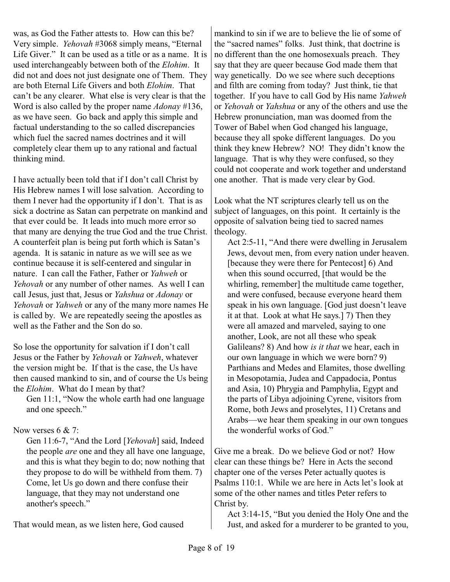was, as God the Father attests to. How can this be? Very simple. *Yehovah* #3068 simply means, "Eternal Life Giver." It can be used as a title or as a name. It is used interchangeably between both of the *Elohim*. It did not and does not just designate one of Them. They are both Eternal Life Givers and both *Elohim*. That can't be any clearer. What else is very clear is that the Word is also called by the proper name *Adonay* #136, as we have seen. Go back and apply this simple and factual understanding to the so called discrepancies which fuel the sacred names doctrines and it will completely clear them up to any rational and factual thinking mind.

I have actually been told that if I don't call Christ by His Hebrew names I will lose salvation. According to them I never had the opportunity if I don't. That is as sick a doctrine as Satan can perpetrate on mankind and that ever could be. It leads into much more error so that many are denying the true God and the true Christ. A counterfeit plan is being put forth which is Satan's agenda. It is satanic in nature as we will see as we continue because it is self-centered and singular in nature. I can call the Father, Father or *Yahweh* or *Yehovah* or any number of other names. As well I can call Jesus, just that, Jesus or *Yahshua* or *Adonay* or *Yehovah* or *Yahweh* or any of the many more names He is called by. We are repeatedly seeing the apostles as well as the Father and the Son do so.

So lose the opportunity for salvation if I don't call Jesus or the Father by *Yehovah* or *Yahweh*, whatever the version might be. If that is the case, the Us have then caused mankind to sin, and of course the Us being the *Elohim*. What do I mean by that?

Gen 11:1, "Now the whole earth had one language and one speech."

## Now verses 6 & 7:

Gen 11:6-7, "And the Lord [*Yehovah*] said, Indeed the people *are* one and they all have one language, and this is what they begin to do; now nothing that they propose to do will be withheld from them. 7) Come, let Us go down and there confuse their language, that they may not understand one another's speech."

That would mean, as we listen here, God caused

mankind to sin if we are to believe the lie of some of the "sacred names" folks. Just think, that doctrine is no different than the one homosexuals preach. They say that they are queer because God made them that way genetically. Do we see where such deceptions and filth are coming from today? Just think, tie that together. If you have to call God by His name *Yahweh* or *Yehovah* or *Yahshua* or any of the others and use the Hebrew pronunciation, man was doomed from the Tower of Babel when God changed his language, because they all spoke different languages. Do you think they knew Hebrew? NO! They didn't know the language. That is why they were confused, so they could not cooperate and work together and understand one another. That is made very clear by God.

Look what the NT scriptures clearly tell us on the subject of languages, on this point. It certainly is the opposite of salvation being tied to sacred names theology.

Act 2:5-11, "And there were dwelling in Jerusalem Jews, devout men, from every nation under heaven. [because they were there for Pentecost] 6) And when this sound occurred, [that would be the whirling, remember] the multitude came together, and were confused, because everyone heard them speak in his own language. [God just doesn't leave it at that. Look at what He says.] 7) Then they were all amazed and marveled, saying to one another, Look, are not all these who speak Galileans? 8) And how *is it that* we hear, each in our own language in which we were born? 9) Parthians and Medes and Elamites, those dwelling in Mesopotamia, Judea and Cappadocia, Pontus and Asia, 10) Phrygia and Pamphylia, Egypt and the parts of Libya adjoining Cyrene, visitors from Rome, both Jews and proselytes, 11) Cretans and Arabs—we hear them speaking in our own tongues the wonderful works of God."

Give me a break. Do we believe God or not? How clear can these things be? Here in Acts the second chapter one of the verses Peter actually quotes is Psalms 110:1. While we are here in Acts let's look at some of the other names and titles Peter refers to Christ by.

Act 3:14-15, "But you denied the Holy One and the Just, and asked for a murderer to be granted to you,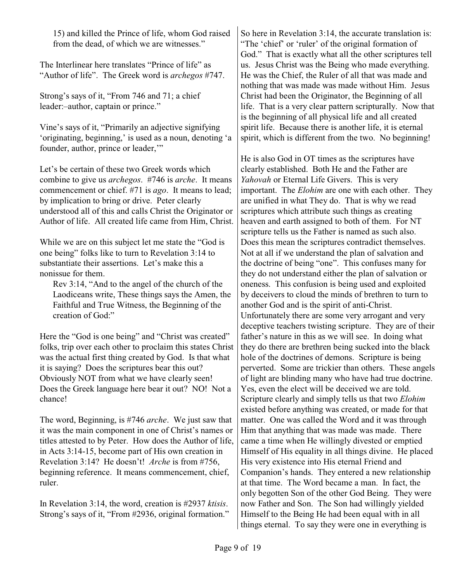15) and killed the Prince of life, whom God raised from the dead, of which we are witnesses."

The Interlinear here translates "Prince of life" as "Author of life". The Greek word is *archegos* #747.

Strong's says of it, "From 746 and 71; a chief leader:–author, captain or prince."

Vine's says of it, "Primarily an adjective signifying 'originating, beginning,' is used as a noun, denoting 'a founder, author, prince or leader,'"

Let's be certain of these two Greek words which combine to give us *archegos*. #746 is *arche*. It means commencement or chief. #71 is *ago*. It means to lead; by implication to bring or drive. Peter clearly understood all of this and calls Christ the Originator or Author of life. All created life came from Him, Christ.

While we are on this subject let me state the "God is one being" folks like to turn to Revelation 3:14 to substantiate their assertions. Let's make this a nonissue for them.

Rev 3:14, "And to the angel of the church of the Laodiceans write, These things says the Amen, the Faithful and True Witness, the Beginning of the creation of God:"

Here the "God is one being" and "Christ was created" folks, trip over each other to proclaim this states Christ was the actual first thing created by God. Is that what it is saying? Does the scriptures bear this out? Obviously NOT from what we have clearly seen! Does the Greek language here bear it out? NO! Not a chance!

The word, Beginning, is #746 *arche*. We just saw that it was the main component in one of Christ's names or titles attested to by Peter. How does the Author of life, in Acts 3:14-15, become part of His own creation in Revelation 3:14? He doesn't! *Arche* is from #756, beginning reference. It means commencement, chief, ruler.

In Revelation 3:14, the word, creation is #2937 *ktisis*. Strong's says of it, "From #2936, original formation." So here in Revelation 3:14, the accurate translation is: "The 'chief' or 'ruler' of the original formation of God." That is exactly what all the other scriptures tell us. Jesus Christ was the Being who made everything. He was the Chief, the Ruler of all that was made and nothing that was made was made without Him. Jesus Christ had been the Originator, the Beginning of all life. That is a very clear pattern scripturally. Now that is the beginning of all physical life and all created spirit life. Because there is another life, it is eternal spirit, which is different from the two. No beginning!

He is also God in OT times as the scriptures have clearly established. Both He and the Father are *Yahovah* or Eternal Life Givers. This is very important. The *Elohim* are one with each other. They are unified in what They do. That is why we read scriptures which attribute such things as creating heaven and earth assigned to both of them. For NT scripture tells us the Father is named as such also. Does this mean the scriptures contradict themselves. Not at all if we understand the plan of salvation and the doctrine of being "one". This confuses many for they do not understand either the plan of salvation or oneness. This confusion is being used and exploited by deceivers to cloud the minds of brethren to turn to another God and is the spirit of anti-Christ. Unfortunately there are some very arrogant and very deceptive teachers twisting scripture. They are of their father's nature in this as we will see. In doing what they do there are brethren being sucked into the black hole of the doctrines of demons. Scripture is being perverted. Some are trickier than others. These angels of light are blinding many who have had true doctrine. Yes, even the elect will be deceived we are told. Scripture clearly and simply tells us that two *Elohim* existed before anything was created, or made for that matter. One was called the Word and it was through Him that anything that was made was made. There came a time when He willingly divested or emptied Himself of His equality in all things divine. He placed His very existence into His eternal Friend and Companion's hands. They entered a new relationship at that time. The Word became a man. In fact, the only begotten Son of the other God Being. They were now Father and Son. The Son had willingly yielded Himself to the Being He had been equal with in all things eternal. To say they were one in everything is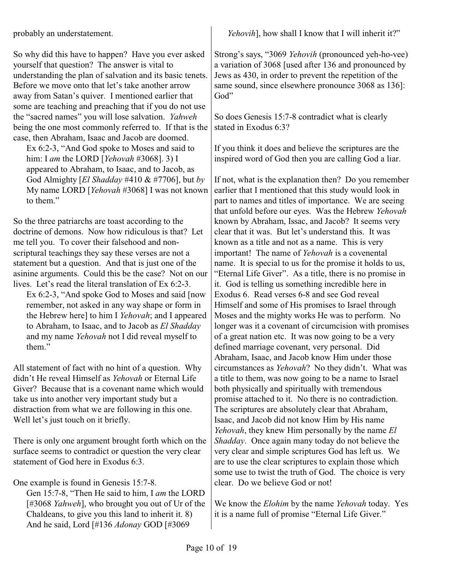probably an understatement.

So why did this have to happen? Have you ever asked yourself that question? The answer is vital to understanding the plan of salvation and its basic tenets. Before we move onto that let's take another arrow away from Satan's quiver. I mentioned earlier that some are teaching and preaching that if you do not use the "sacred names" you will lose salvation. *Yahweh* being the one most commonly referred to. If that is the case, then Abraham, Isaac and Jacob are doomed.

Ex 6:2-3, "And God spoke to Moses and said to him: I *am* the LORD [*Yehovah* #3068]. 3) I appeared to Abraham, to Isaac, and to Jacob, as God Almighty [*El Shadday* #410 & #7706], but *by* My name LORD [*Yehovah* #3068] I was not known to them."

So the three patriarchs are toast according to the doctrine of demons. Now how ridiculous is that? Let me tell you. To cover their falsehood and nonscriptural teachings they say these verses are not a statement but a question. And that is just one of the asinine arguments. Could this be the case? Not on our lives. Let's read the literal translation of Ex 6:2-3.

Ex 6:2-3, "And spoke God to Moses and said [now remember, not asked in any way shape or form in the Hebrew here] to him I *Yehovah*; and I appeared to Abraham, to Isaac, and to Jacob as *El Shadday* and my name *Yehovah* not I did reveal myself to them."

All statement of fact with no hint of a question. Why didn't He reveal Himself as *Yehovah* or Eternal Life Giver? Because that is a covenant name which would take us into another very important study but a distraction from what we are following in this one. Well let's just touch on it briefly.

There is only one argument brought forth which on the surface seems to contradict or question the very clear statement of God here in Exodus 6:3.

One example is found in Genesis 15:7-8.

Gen 15:7-8, "Then He said to him, I *am* the LORD [#3068 *Yahweh*], who brought you out of Ur of the Chaldeans, to give you this land to inherit it. 8) And he said, Lord [#136 *Adonay* GOD [#3069

*Yehovih*], how shall I know that I will inherit it?"

Strong's says, "3069 *Yehovih* (pronounced yeh-ho-vee) a variation of 3068 [used after 136 and pronounced by Jews as 430, in order to prevent the repetition of the same sound, since elsewhere pronounce 3068 as 136]: God"

So does Genesis 15:7-8 contradict what is clearly stated in Exodus 6:3?

If you think it does and believe the scriptures are the inspired word of God then you are calling God a liar.

If not, what is the explanation then? Do you remember earlier that I mentioned that this study would look in part to names and titles of importance. We are seeing that unfold before our eyes. Was the Hebrew *Yehovah* known by Abraham, Issac, and Jacob? It seems very clear that it was. But let's understand this. It was known as a title and not as a name. This is very important! The name of *Yehovah* is a covenental name. It is special to us for the promise it holds to us, "Eternal Life Giver". As a title, there is no promise in it. God is telling us something incredible here in Exodus 6. Read verses 6-8 and see God reveal Himself and some of His promises to Israel through Moses and the mighty works He was to perform. No longer was it a covenant of circumcision with promises of a great nation etc. It was now going to be a very defined marriage covenant, very personal. Did Abraham, Isaac, and Jacob know Him under those circumstances as *Yehovah*? No they didn't. What was a title to them, was now going to be a name to Israel both physically and spiritually with tremendous promise attached to it. No there is no contradiction. The scriptures are absolutely clear that Abraham, Isaac, and Jacob did not know Him by His name *Yehovah*, they knew Him personally by the name *El Shadday*. Once again many today do not believe the very clear and simple scriptures God has left us. We are to use the clear scriptures to explain those which some use to twist the truth of God. The choice is very clear. Do we believe God or not!

We know the *Elohim* by the name *Yehovah* today. Yes it is a name full of promise "Eternal Life Giver."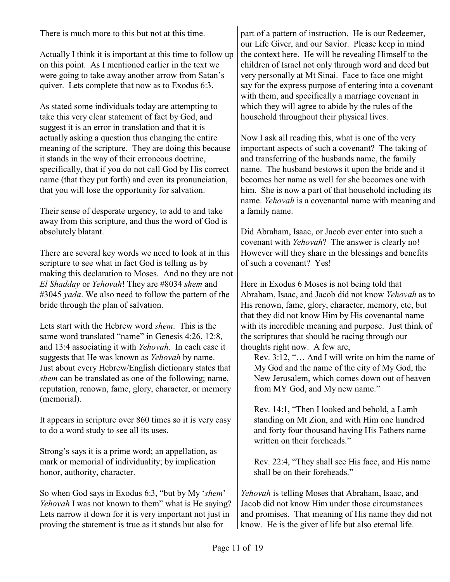There is much more to this but not at this time.

Actually I think it is important at this time to follow up on this point. As I mentioned earlier in the text we were going to take away another arrow from Satan's quiver. Lets complete that now as to Exodus 6:3.

As stated some individuals today are attempting to take this very clear statement of fact by God, and suggest it is an error in translation and that it is actually asking a question thus changing the entire meaning of the scripture. They are doing this because it stands in the way of their erroneous doctrine, specifically, that if you do not call God by His correct name (that they put forth) and even its pronunciation, that you will lose the opportunity for salvation.

Their sense of desperate urgency, to add to and take away from this scripture, and thus the word of God is absolutely blatant.

There are several key words we need to look at in this scripture to see what in fact God is telling us by making this declaration to Moses. And no they are not *El Shadday* or *Yehovah*! They are #8034 *shem* and #3045 *yada*. We also need to follow the pattern of the bride through the plan of salvation.

Lets start with the Hebrew word *shem*. This is the same word translated "name" in Genesis 4:26, 12:8, and 13:4 associating it with *Yehovah*. In each case it suggests that He was known as *Yehovah* by name. Just about every Hebrew/English dictionary states that *shem* can be translated as one of the following; name, reputation, renown, fame, glory, character, or memory (memorial).

It appears in scripture over 860 times so it is very easy to do a word study to see all its uses.

Strong's says it is a prime word; an appellation, as mark or memorial of individuality; by implication honor, authority, character.

So when God says in Exodus 6:3, "but by My '*shem*' *Yehovah* I was not known to them" what is He saying? Lets narrow it down for it is very important not just in proving the statement is true as it stands but also for

part of a pattern of instruction. He is our Redeemer, our Life Giver, and our Savior. Please keep in mind the context here. He will be revealing Himself to the children of Israel not only through word and deed but very personally at Mt Sinai. Face to face one might say for the express purpose of entering into a covenant with them, and specifically a marriage covenant in which they will agree to abide by the rules of the household throughout their physical lives.

Now I ask all reading this, what is one of the very important aspects of such a covenant? The taking of and transferring of the husbands name, the family name. The husband bestows it upon the bride and it becomes her name as well for she becomes one with him. She is now a part of that household including its name. *Yehovah* is a covenantal name with meaning and a family name.

Did Abraham, Isaac, or Jacob ever enter into such a covenant with *Yehovah*? The answer is clearly no! However will they share in the blessings and benefits of such a covenant? Yes!

Here in Exodus 6 Moses is not being told that Abraham, Isaac, and Jacob did not know *Yehovah* as to His renown, fame, glory, character, memory, etc, but that they did not know Him by His covenantal name with its incredible meaning and purpose. Just think of the scriptures that should be racing through our thoughts right now. A few are,

Rev. 3:12, "… And I will write on him the name of My God and the name of the city of My God, the New Jerusalem, which comes down out of heaven from MY God, and My new name."

Rev. 14:1, "Then I looked and behold, a Lamb standing on Mt Zion, and with Him one hundred and forty four thousand having His Fathers name written on their foreheads."

Rev. 22:4, "They shall see His face, and His name shall be on their foreheads."

*Yehovah* is telling Moses that Abraham, Isaac, and Jacob did not know Him under those circumstances and promises. That meaning of His name they did not know. He is the giver of life but also eternal life.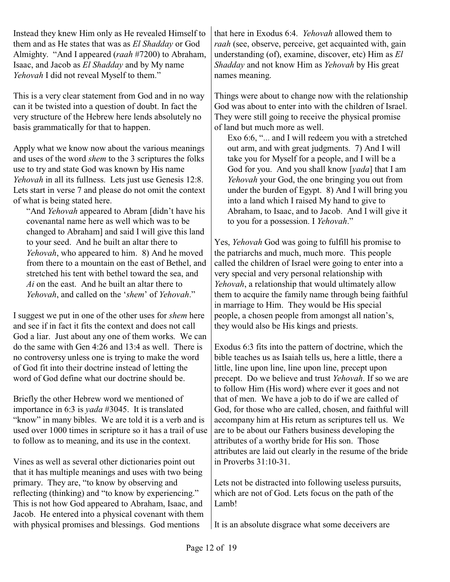Instead they knew Him only as He revealed Himself to them and as He states that was as *El Shadday* or God Almighty. "And I appeared (*raah* #7200) to Abraham, Isaac, and Jacob as *El Shadday* and by My name *Yehovah* I did not reveal Myself to them."

This is a very clear statement from God and in no way can it be twisted into a question of doubt. In fact the very structure of the Hebrew here lends absolutely no basis grammatically for that to happen.

Apply what we know now about the various meanings and uses of the word *shem* to the 3 scriptures the folks use to try and state God was known by His name *Yehovah* in all its fullness. Lets just use Genesis 12:8. Lets start in verse 7 and please do not omit the context of what is being stated here.

"And *Yehovah* appeared to Abram [didn't have his covenantal name here as well which was to be changed to Abraham] and said I will give this land to your seed. And he built an altar there to *Yehovah*, who appeared to him. 8) And he moved from there to a mountain on the east of Bethel, and stretched his tent with bethel toward the sea, and *Ai* on the east. And he built an altar there to *Yehovah*, and called on the '*shem*' of *Yehovah*."

I suggest we put in one of the other uses for *shem* here and see if in fact it fits the context and does not call God a liar. Just about any one of them works. We can do the same with Gen 4:26 and 13:4 as well. There is no controversy unless one is trying to make the word of God fit into their doctrine instead of letting the word of God define what our doctrine should be.

Briefly the other Hebrew word we mentioned of importance in 6:3 is *yada* #3045. It is translated "know" in many bibles. We are told it is a verb and is used over 1000 times in scripture so it has a trail of use to follow as to meaning, and its use in the context.

Vines as well as several other dictionaries point out that it has multiple meanings and uses with two being primary. They are, "to know by observing and reflecting (thinking) and "to know by experiencing." This is not how God appeared to Abraham, Isaac, and Jacob. He entered into a physical covenant with them with physical promises and blessings. God mentions

that here in Exodus 6:4. *Yehovah* allowed them to *raah* (see, observe, perceive, get acquainted with, gain understanding (of), examine, discover, etc) Him as *El Shadday* and not know Him as *Yehovah* by His great names meaning.

Things were about to change now with the relationship God was about to enter into with the children of Israel. They were still going to receive the physical promise of land but much more as well.

Exo 6:6, "... and I will redeem you with a stretched out arm, and with great judgments. 7) And I will take you for Myself for a people, and I will be a God for you. And you shall know [*yada*] that I am *Yehovah* your God, the one bringing you out from under the burden of Egypt. 8) And I will bring you into a land which I raised My hand to give to Abraham, to Isaac, and to Jacob. And I will give it to you for a possession. I *Yehovah*."

Yes, *Yehovah* God was going to fulfill his promise to the patriarchs and much, much more. This people called the children of Israel were going to enter into a very special and very personal relationship with *Yehovah*, a relationship that would ultimately allow them to acquire the family name through being faithful in marriage to Him. They would be His special people, a chosen people from amongst all nation's, they would also be His kings and priests.

Exodus 6:3 fits into the pattern of doctrine, which the bible teaches us as Isaiah tells us, here a little, there a little, line upon line, line upon line, precept upon precept. Do we believe and trust *Yehovah*. If so we are to follow Him (His word) where ever it goes and not that of men. We have a job to do if we are called of God, for those who are called, chosen, and faithful will accompany him at His return as scriptures tell us. We are to be about our Fathers business developing the attributes of a worthy bride for His son. Those attributes are laid out clearly in the resume of the bride in Proverbs 31:10-31.

Lets not be distracted into following useless pursuits, which are not of God. Lets focus on the path of the Lamb!

It is an absolute disgrace what some deceivers are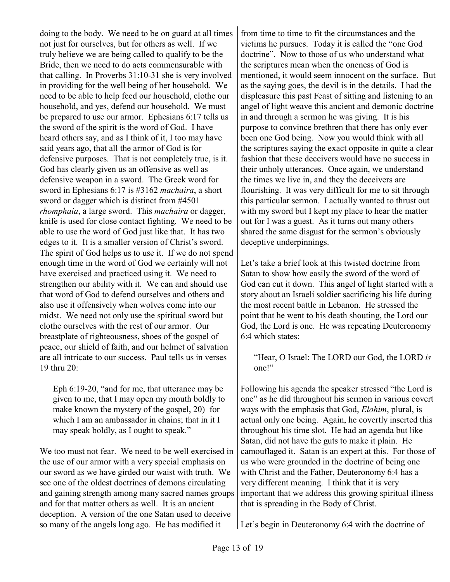doing to the body. We need to be on guard at all times not just for ourselves, but for others as well. If we truly believe we are being called to qualify to be the Bride, then we need to do acts commensurable with that calling. In Proverbs 31:10-31 she is very involved in providing for the well being of her household. We need to be able to help feed our household, clothe our household, and yes, defend our household. We must be prepared to use our armor. Ephesians 6:17 tells us the sword of the spirit is the word of God. I have heard others say, and as I think of it, I too may have said years ago, that all the armor of God is for defensive purposes. That is not completely true, is it. God has clearly given us an offensive as well as defensive weapon in a sword. The Greek word for sword in Ephesians 6:17 is #3162 *machaira*, a short sword or dagger which is distinct from #4501 *rhomphaia*, a large sword. This *machaira* or dagger, knife is used for close contact fighting. We need to be able to use the word of God just like that. It has two edges to it. It is a smaller version of Christ's sword. The spirit of God helps us to use it. If we do not spend enough time in the word of God we certainly will not have exercised and practiced using it. We need to strengthen our ability with it. We can and should use that word of God to defend ourselves and others and also use it offensively when wolves come into our midst. We need not only use the spiritual sword but clothe ourselves with the rest of our armor. Our breastplate of righteousness, shoes of the gospel of peace, our shield of faith, and our helmet of salvation are all intricate to our success. Paul tells us in verses 19 thru 20:

Eph 6:19-20, "and for me, that utterance may be given to me, that I may open my mouth boldly to make known the mystery of the gospel, 20) for which I am an ambassador in chains; that in it I may speak boldly, as I ought to speak."

We too must not fear. We need to be well exercised in the use of our armor with a very special emphasis on our sword as we have girded our waist with truth. We see one of the oldest doctrines of demons circulating and gaining strength among many sacred names groups and for that matter others as well. It is an ancient deception. A version of the one Satan used to deceive so many of the angels long ago. He has modified it

from time to time to fit the circumstances and the victims he pursues. Today it is called the "one God doctrine". Now to those of us who understand what the scriptures mean when the oneness of God is mentioned, it would seem innocent on the surface. But as the saying goes, the devil is in the details. I had the displeasure this past Feast of sitting and listening to an angel of light weave this ancient and demonic doctrine in and through a sermon he was giving. It is his purpose to convince brethren that there has only ever been one God being. Now you would think with all the scriptures saying the exact opposite in quite a clear fashion that these deceivers would have no success in their unholy utterances. Once again, we understand the times we live in, and they the deceivers are flourishing. It was very difficult for me to sit through this particular sermon. I actually wanted to thrust out with my sword but I kept my place to hear the matter out for I was a guest. As it turns out many others shared the same disgust for the sermon's obviously deceptive underpinnings.

Let's take a brief look at this twisted doctrine from Satan to show how easily the sword of the word of God can cut it down. This angel of light started with a story about an Israeli soldier sacrificing his life during the most recent battle in Lebanon. He stressed the point that he went to his death shouting, the Lord our God, the Lord is one. He was repeating Deuteronomy 6:4 which states:

"Hear, O Israel: The LORD our God, the LORD *is* one!"

Following his agenda the speaker stressed "the Lord is one" as he did throughout his sermon in various covert ways with the emphasis that God, *Elohim*, plural, is actual only one being. Again, he covertly inserted this throughout his time slot. He had an agenda but like Satan, did not have the guts to make it plain. He camouflaged it. Satan is an expert at this. For those of us who were grounded in the doctrine of being one with Christ and the Father, Deuteronomy 6:4 has a very different meaning. I think that it is very important that we address this growing spiritual illness that is spreading in the Body of Christ.

Let's begin in Deuteronomy 6:4 with the doctrine of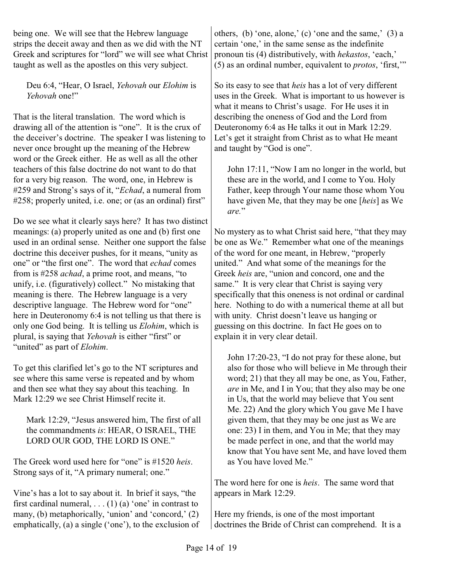being one. We will see that the Hebrew language strips the deceit away and then as we did with the NT Greek and scriptures for "lord" we will see what Christ taught as well as the apostles on this very subject.

Deu 6:4, "Hear, O Israel, *Yehovah* our *Elohim* is *Yehovah* one!"

That is the literal translation. The word which is drawing all of the attention is "one". It is the crux of the deceiver's doctrine. The speaker I was listening to never once brought up the meaning of the Hebrew word or the Greek either. He as well as all the other teachers of this false doctrine do not want to do that for a very big reason. The word, one, in Hebrew is #259 and Strong's says of it, "*Echad*, a numeral from #258; properly united, i.e. one; or (as an ordinal) first"

Do we see what it clearly says here? It has two distinct meanings: (a) properly united as one and (b) first one used in an ordinal sense. Neither one support the false doctrine this deceiver pushes, for it means, "unity as one" or "the first one". The word that *echad* comes from is #258 *achad*, a prime root, and means, "to unify, i.e. (figuratively) collect." No mistaking that meaning is there. The Hebrew language is a very descriptive language. The Hebrew word for "one" here in Deuteronomy 6:4 is not telling us that there is only one God being. It is telling us *Elohim*, which is plural, is saying that *Yehovah* is either "first" or "united" as part of *Elohim*.

To get this clarified let's go to the NT scriptures and see where this same verse is repeated and by whom and then see what they say about this teaching. In Mark 12:29 we see Christ Himself recite it.

Mark 12:29, "Jesus answered him, The first of all the commandments *is*: HEAR, O ISRAEL, THE LORD OUR GOD, THE LORD IS ONE."

The Greek word used here for "one" is #1520 *heis*. Strong says of it, "A primary numeral; one."

Vine's has a lot to say about it. In brief it says, "the first cardinal numeral,  $\dots$  (1) (a) 'one' in contrast to many, (b) metaphorically, 'union' and 'concord,' (2) emphatically, (a) a single ('one'), to the exclusion of others, (b) 'one, alone,' (c) 'one and the same,' (3) a certain 'one,' in the same sense as the indefinite pronoun tis (4) distributively, with *hekastos*, 'each,' (5) as an ordinal number, equivalent to *protos*, 'first,'"

So its easy to see that *heis* has a lot of very different uses in the Greek. What is important to us however is what it means to Christ's usage. For He uses it in describing the oneness of God and the Lord from Deuteronomy 6:4 as He talks it out in Mark 12:29. Let's get it straight from Christ as to what He meant and taught by "God is one".

John 17:11, "Now I am no longer in the world, but these are in the world, and I come to You. Holy Father, keep through Your name those whom You have given Me, that they may be one [*heis*] as We *are.*"

No mystery as to what Christ said here, "that they may be one as We." Remember what one of the meanings of the word for one meant, in Hebrew, "properly united." And what some of the meanings for the Greek *heis* are, "union and concord, one and the same." It is very clear that Christ is saying very specifically that this oneness is not ordinal or cardinal here. Nothing to do with a numerical theme at all but with unity. Christ doesn't leave us hanging or guessing on this doctrine. In fact He goes on to explain it in very clear detail.

John 17:20-23, "I do not pray for these alone, but also for those who will believe in Me through their word; 21) that they all may be one, as You, Father, *are* in Me, and I in You; that they also may be one in Us, that the world may believe that You sent Me. 22) And the glory which You gave Me I have given them, that they may be one just as We are one: 23) I in them, and You in Me; that they may be made perfect in one, and that the world may know that You have sent Me, and have loved them as You have loved Me."

The word here for one is *heis*. The same word that appears in Mark 12:29.

Here my friends, is one of the most important doctrines the Bride of Christ can comprehend. It is a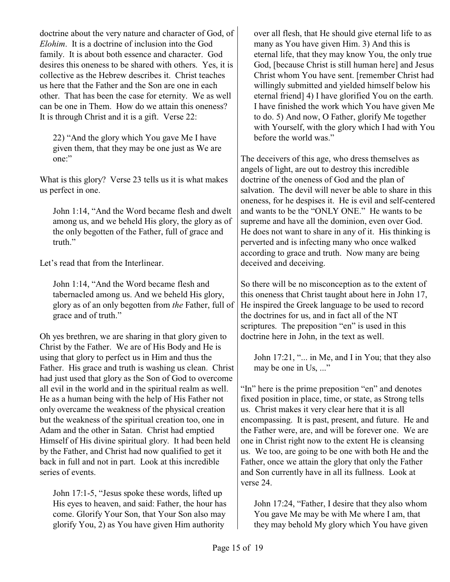doctrine about the very nature and character of God, of *Elohim*. It is a doctrine of inclusion into the God family. It is about both essence and character. God desires this oneness to be shared with others. Yes, it is collective as the Hebrew describes it. Christ teaches us here that the Father and the Son are one in each other. That has been the case for eternity. We as well can be one in Them. How do we attain this oneness? It is through Christ and it is a gift. Verse 22:

22) "And the glory which You gave Me I have given them, that they may be one just as We are one:"

What is this glory? Verse 23 tells us it is what makes us perfect in one.

John 1:14, "And the Word became flesh and dwelt among us, and we beheld His glory, the glory as of the only begotten of the Father, full of grace and truth."

Let's read that from the Interlinear.

John 1:14, "And the Word became flesh and tabernacled among us. And we beheld His glory, glory as of an only begotten from *the* Father, full of grace and of truth."

Oh yes brethren, we are sharing in that glory given to Christ by the Father. We are of His Body and He is using that glory to perfect us in Him and thus the Father. His grace and truth is washing us clean. Christ had just used that glory as the Son of God to overcome all evil in the world and in the spiritual realm as well. He as a human being with the help of His Father not only overcame the weakness of the physical creation but the weakness of the spiritual creation too, one in Adam and the other in Satan. Christ had emptied Himself of His divine spiritual glory. It had been held by the Father, and Christ had now qualified to get it back in full and not in part. Look at this incredible series of events.

John 17:1-5, "Jesus spoke these words, lifted up His eyes to heaven, and said: Father, the hour has come. Glorify Your Son, that Your Son also may glorify You, 2) as You have given Him authority

over all flesh, that He should give eternal life to as many as You have given Him. 3) And this is eternal life, that they may know You, the only true God, [because Christ is still human here] and Jesus Christ whom You have sent. [remember Christ had willingly submitted and yielded himself below his eternal friend] 4) I have glorified You on the earth. I have finished the work which You have given Me to do. 5) And now, O Father, glorify Me together with Yourself, with the glory which I had with You before the world was."

The deceivers of this age, who dress themselves as angels of light, are out to destroy this incredible doctrine of the oneness of God and the plan of salvation. The devil will never be able to share in this oneness, for he despises it. He is evil and self-centered and wants to be the "ONLY ONE." He wants to be supreme and have all the dominion, even over God. He does not want to share in any of it. His thinking is perverted and is infecting many who once walked according to grace and truth. Now many are being deceived and deceiving.

So there will be no misconception as to the extent of this oneness that Christ taught about here in John 17, He inspired the Greek language to be used to record the doctrines for us, and in fact all of the NT scriptures. The preposition "en" is used in this doctrine here in John, in the text as well.

John 17:21, "... in Me, and I in You; that they also may be one in Us, ..."

"In" here is the prime preposition "en" and denotes fixed position in place, time, or state, as Strong tells us. Christ makes it very clear here that it is all encompassing. It is past, present, and future. He and the Father were, are, and will be forever one. We are one in Christ right now to the extent He is cleansing us. We too, are going to be one with both He and the Father, once we attain the glory that only the Father and Son currently have in all its fullness. Look at verse 24.

John 17:24, "Father, I desire that they also whom You gave Me may be with Me where I am, that they may behold My glory which You have given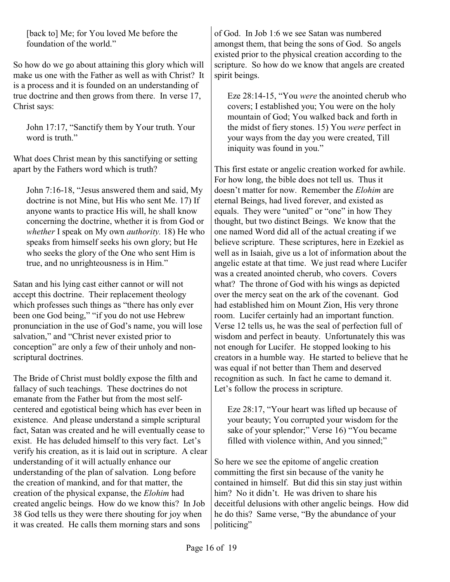[back to] Me; for You loved Me before the foundation of the world."

So how do we go about attaining this glory which will make us one with the Father as well as with Christ? It is a process and it is founded on an understanding of true doctrine and then grows from there. In verse 17, Christ says:

John 17:17, "Sanctify them by Your truth. Your word is truth."

What does Christ mean by this sanctifying or setting apart by the Fathers word which is truth?

John 7:16-18, "Jesus answered them and said, My doctrine is not Mine, but His who sent Me. 17) If anyone wants to practice His will, he shall know concerning the doctrine, whether it is from God or *whether* I speak on My own *authority.* 18) He who speaks from himself seeks his own glory; but He who seeks the glory of the One who sent Him is true, and no unrighteousness is in Him."

Satan and his lying cast either cannot or will not accept this doctrine. Their replacement theology which professes such things as "there has only ever been one God being," "if you do not use Hebrew pronunciation in the use of God's name, you will lose salvation," and "Christ never existed prior to conception" are only a few of their unholy and nonscriptural doctrines.

The Bride of Christ must boldly expose the filth and fallacy of such teachings. These doctrines do not emanate from the Father but from the most selfcentered and egotistical being which has ever been in existence. And please understand a simple scriptural fact, Satan was created and he will eventually cease to exist. He has deluded himself to this very fact. Let's verify his creation, as it is laid out in scripture. A clear understanding of it will actually enhance our understanding of the plan of salvation. Long before the creation of mankind, and for that matter, the creation of the physical expanse, the *Elohim* had created angelic beings. How do we know this? In Job 38 God tells us they were there shouting for joy when it was created. He calls them morning stars and sons

of God. In Job 1:6 we see Satan was numbered amongst them, that being the sons of God. So angels existed prior to the physical creation according to the scripture. So how do we know that angels are created spirit beings.

Eze 28:14-15, "You *were* the anointed cherub who covers; I established you; You were on the holy mountain of God; You walked back and forth in the midst of fiery stones. 15) You *were* perfect in your ways from the day you were created, Till iniquity was found in you."

This first estate or angelic creation worked for awhile. For how long, the bible does not tell us. Thus it doesn't matter for now. Remember the *Elohim* are eternal Beings, had lived forever, and existed as equals. They were "united" or "one" in how They thought, but two distinct Beings. We know that the one named Word did all of the actual creating if we believe scripture. These scriptures, here in Ezekiel as well as in Isaiah, give us a lot of information about the angelic estate at that time. We just read where Lucifer was a created anointed cherub, who covers. Covers what? The throne of God with his wings as depicted over the mercy seat on the ark of the covenant. God had established him on Mount Zion, His very throne room. Lucifer certainly had an important function. Verse 12 tells us, he was the seal of perfection full of wisdom and perfect in beauty. Unfortunately this was not enough for Lucifer. He stopped looking to his creators in a humble way. He started to believe that he was equal if not better than Them and deserved recognition as such. In fact he came to demand it. Let's follow the process in scripture.

Eze 28:17, "Your heart was lifted up because of your beauty; You corrupted your wisdom for the sake of your splendor;" Verse 16) "You became filled with violence within, And you sinned;"

So here we see the epitome of angelic creation committing the first sin because of the vanity he contained in himself. But did this sin stay just within him? No it didn't. He was driven to share his deceitful delusions with other angelic beings. How did he do this? Same verse, "By the abundance of your politicing"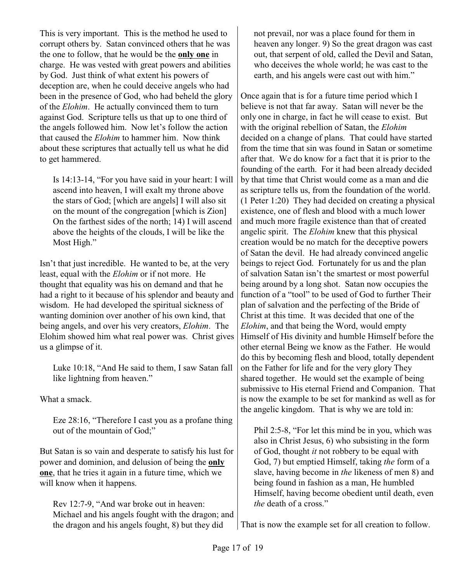This is very important. This is the method he used to corrupt others by. Satan convinced others that he was the one to follow, that he would be the **only one** in charge. He was vested with great powers and abilities by God. Just think of what extent his powers of deception are, when he could deceive angels who had been in the presence of God, who had beheld the glory of the *Elohim*. He actually convinced them to turn against God. Scripture tells us that up to one third of the angels followed him. Now let's follow the action that caused the *Elohim* to hammer him. Now think about these scriptures that actually tell us what he did to get hammered.

Is 14:13-14, "For you have said in your heart: I will ascend into heaven, I will exalt my throne above the stars of God; [which are angels] I will also sit on the mount of the congregation [which is Zion] On the farthest sides of the north; 14) I will ascend above the heights of the clouds, I will be like the Most High."

Isn't that just incredible. He wanted to be, at the very least, equal with the *Elohim* or if not more. He thought that equality was his on demand and that he had a right to it because of his splendor and beauty and wisdom. He had developed the spiritual sickness of wanting dominion over another of his own kind, that being angels, and over his very creators, *Elohim*. The Elohim showed him what real power was. Christ gives us a glimpse of it.

Luke 10:18, "And He said to them, I saw Satan fall like lightning from heaven."

What a smack.

Eze 28:16, "Therefore I cast you as a profane thing out of the mountain of God;"

But Satan is so vain and desperate to satisfy his lust for power and dominion, and delusion of being the **only one**, that he tries it again in a future time, which we will know when it happens.

Rev 12:7-9, "And war broke out in heaven: Michael and his angels fought with the dragon; and the dragon and his angels fought, 8) but they did

not prevail, nor was a place found for them in heaven any longer. 9) So the great dragon was cast out, that serpent of old, called the Devil and Satan, who deceives the whole world; he was cast to the earth, and his angels were cast out with him."

Once again that is for a future time period which I believe is not that far away. Satan will never be the only one in charge, in fact he will cease to exist. But with the original rebellion of Satan, the *Elohim* decided on a change of plans. That could have started from the time that sin was found in Satan or sometime after that. We do know for a fact that it is prior to the founding of the earth. For it had been already decided by that time that Christ would come as a man and die as scripture tells us, from the foundation of the world. (1 Peter 1:20) They had decided on creating a physical existence, one of flesh and blood with a much lower and much more fragile existence than that of created angelic spirit. The *Elohim* knew that this physical creation would be no match for the deceptive powers of Satan the devil. He had already convinced angelic beings to reject God. Fortunately for us and the plan of salvation Satan isn't the smartest or most powerful being around by a long shot. Satan now occupies the function of a "tool" to be used of God to further Their plan of salvation and the perfecting of the Bride of Christ at this time. It was decided that one of the *Elohim*, and that being the Word, would empty Himself of His divinity and humble Himself before the other eternal Being we know as the Father. He would do this by becoming flesh and blood, totally dependent on the Father for life and for the very glory They shared together. He would set the example of being submissive to His eternal Friend and Companion. That is now the example to be set for mankind as well as for the angelic kingdom. That is why we are told in:

Phil 2:5-8, "For let this mind be in you, which was also in Christ Jesus, 6) who subsisting in the form of God, thought *it* not robbery to be equal with God, 7) but emptied Himself, taking *the* form of a slave, having become in *the* likeness of men 8) and being found in fashion as a man, He humbled Himself, having become obedient until death, even *the* death of a cross."

That is now the example set for all creation to follow.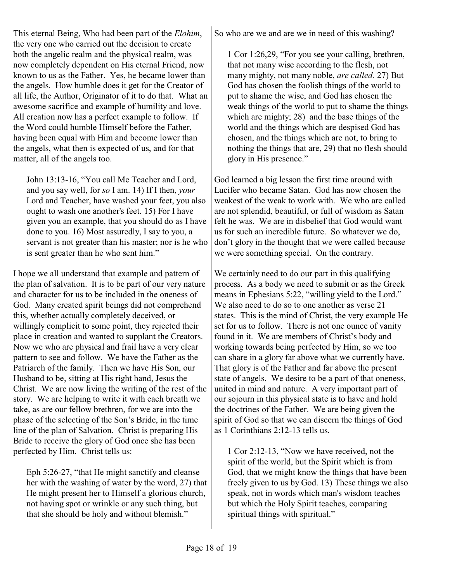This eternal Being, Who had been part of the *Elohim*, the very one who carried out the decision to create both the angelic realm and the physical realm, was now completely dependent on His eternal Friend, now known to us as the Father. Yes, he became lower than the angels. How humble does it get for the Creator of all life, the Author, Originator of it to do that. What an awesome sacrifice and example of humility and love. All creation now has a perfect example to follow. If the Word could humble Himself before the Father, having been equal with Him and become lower than the angels, what then is expected of us, and for that matter, all of the angels too.

John 13:13-16, "You call Me Teacher and Lord, and you say well, for *so* I am. 14) If I then, *your* Lord and Teacher, have washed your feet, you also ought to wash one another's feet. 15) For I have given you an example, that you should do as I have done to you. 16) Most assuredly, I say to you, a servant is not greater than his master; nor is he who is sent greater than he who sent him."

I hope we all understand that example and pattern of the plan of salvation. It is to be part of our very nature and character for us to be included in the oneness of God. Many created spirit beings did not comprehend this, whether actually completely deceived, or willingly complicit to some point, they rejected their place in creation and wanted to supplant the Creators. Now we who are physical and frail have a very clear pattern to see and follow. We have the Father as the Patriarch of the family. Then we have His Son, our Husband to be, sitting at His right hand, Jesus the Christ. We are now living the writing of the rest of the story. We are helping to write it with each breath we take, as are our fellow brethren, for we are into the phase of the selecting of the Son's Bride, in the time line of the plan of Salvation. Christ is preparing His Bride to receive the glory of God once she has been perfected by Him. Christ tells us:

Eph 5:26-27, "that He might sanctify and cleanse her with the washing of water by the word, 27) that He might present her to Himself a glorious church, not having spot or wrinkle or any such thing, but that she should be holy and without blemish."

So who are we and are we in need of this washing?

1 Cor 1:26,29, "For you see your calling, brethren, that not many wise according to the flesh, not many mighty, not many noble, *are called.* 27) But God has chosen the foolish things of the world to put to shame the wise, and God has chosen the weak things of the world to put to shame the things which are mighty; 28) and the base things of the world and the things which are despised God has chosen, and the things which are not, to bring to nothing the things that are, 29) that no flesh should glory in His presence."

God learned a big lesson the first time around with Lucifer who became Satan. God has now chosen the weakest of the weak to work with. We who are called are not splendid, beautiful, or full of wisdom as Satan felt he was. We are in disbelief that God would want us for such an incredible future. So whatever we do, don't glory in the thought that we were called because we were something special. On the contrary.

We certainly need to do our part in this qualifying process. As a body we need to submit or as the Greek means in Ephesians 5:22, "willing yield to the Lord." We also need to do so to one another as verse 21 states. This is the mind of Christ, the very example He set for us to follow. There is not one ounce of vanity found in it. We are members of Christ's body and working towards being perfected by Him, so we too can share in a glory far above what we currently have. That glory is of the Father and far above the present state of angels. We desire to be a part of that oneness, united in mind and nature. A very important part of our sojourn in this physical state is to have and hold the doctrines of the Father. We are being given the spirit of God so that we can discern the things of God as 1 Corinthians 2:12-13 tells us.

1 Cor 2:12-13, "Now we have received, not the spirit of the world, but the Spirit which is from God, that we might know the things that have been freely given to us by God. 13) These things we also speak, not in words which man's wisdom teaches but which the Holy Spirit teaches, comparing spiritual things with spiritual."